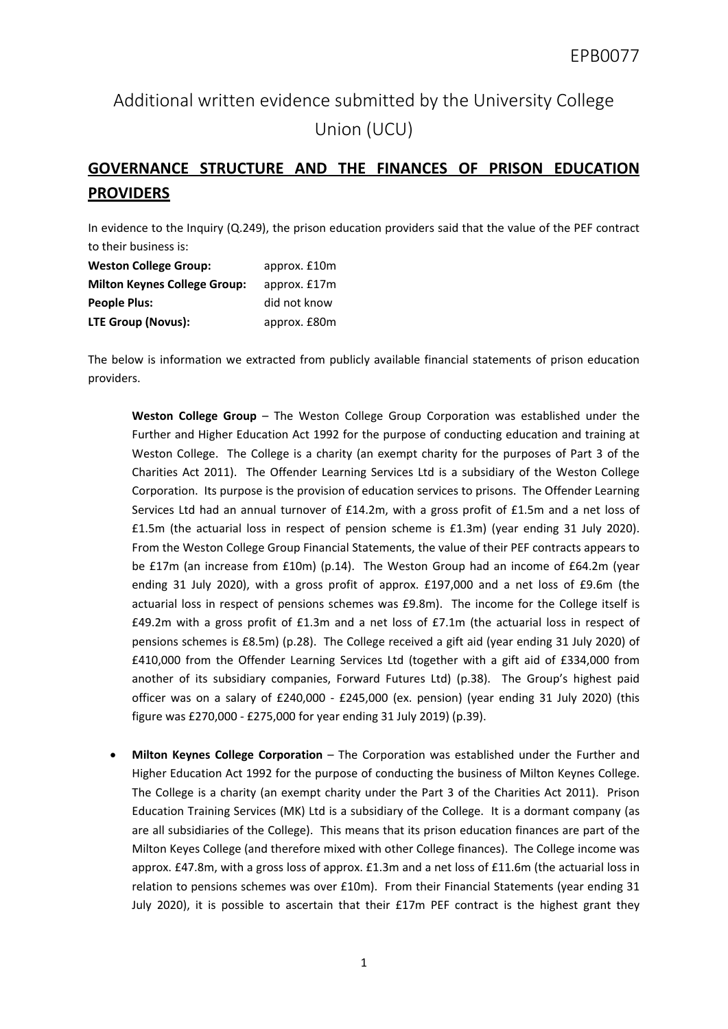## Additional written evidence submitted by the University College Union (UCU)

## **GOVERNANCE STRUCTURE AND THE FINANCES OF PRISON EDUCATION PROVIDERS**

In evidence to the Inquiry (Q.249), the prison education providers said that the value of the PEF contract to their business is:

| <b>Weston College Group:</b>        | approx. £10m |
|-------------------------------------|--------------|
| <b>Milton Keynes College Group:</b> | approx. £17m |
| <b>People Plus:</b>                 | did not know |
| <b>LTE Group (Novus):</b>           | approx. £80m |

The below is information we extracted from publicly available financial statements of prison education providers.

**Weston College Group** – The Weston College Group Corporation was established under the Further and Higher Education Act 1992 for the purpose of conducting education and training at Weston College. The College is a charity (an exempt charity for the purposes of Part 3 of the Charities Act 2011). The Offender Learning Services Ltd is a subsidiary of the Weston College Corporation. Its purpose is the provision of education services to prisons. The Offender Learning Services Ltd had an annual turnover of £14.2m, with a gross profit of £1.5m and a net loss of £1.5m (the actuarial loss in respect of pension scheme is £1.3m) (year ending 31 July 2020). From the Weston College Group Financial Statements, the value of their PEF contracts appears to be £17m (an increase from £10m) (p.14). The Weston Group had an income of £64.2m (year ending 31 July 2020), with a gross profit of approx. £197,000 and a net loss of £9.6m (the actuarial loss in respect of pensions schemes was £9.8m). The income for the College itself is £49.2m with a gross profit of £1.3m and a net loss of  $E7.1m$  (the actuarial loss in respect of pensions schemes is £8.5m) (p.28). The College received a gift aid (year ending 31 July 2020) of £410,000 from the Offender Learning Services Ltd (together with a gift aid of £334,000 from another of its subsidiary companies, Forward Futures Ltd) (p.38). The Group's highest paid officer was on a salary of £240,000 - £245,000 (ex. pension) (year ending 31 July 2020) (this figure was £270,000 - £275,000 for year ending 31 July 2019) (p.39).

 **Milton Keynes College Corporation** – The Corporation was established under the Further and Higher Education Act 1992 for the purpose of conducting the business of Milton Keynes College. The College is a charity (an exempt charity under the Part 3 of the Charities Act 2011). Prison Education Training Services (MK) Ltd is a subsidiary of the College. It is a dormant company (as are all subsidiaries of the College). This means that its prison education finances are part of the Milton Keyes College (and therefore mixed with other College finances). The College income was approx. £47.8m, with a gross loss of approx. £1.3m and a net loss of £11.6m (the actuarial loss in relation to pensions schemes was over £10m). From their Financial Statements (year ending 31 July 2020), it is possible to ascertain that their £17m PEF contract is the highest grant they